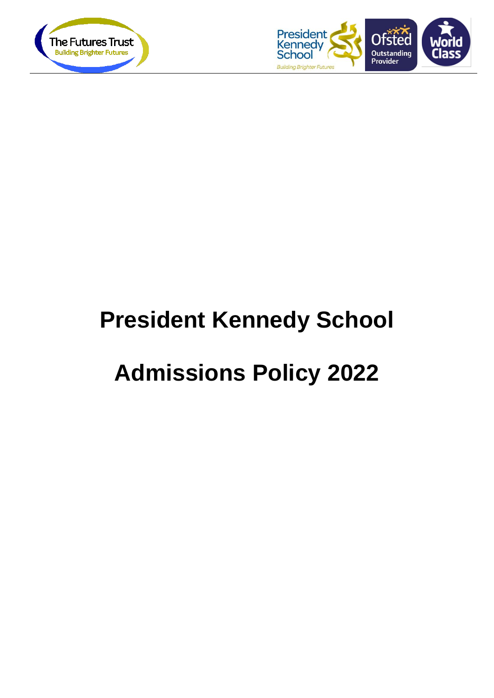



# **President Kennedy School**

## **Admissions Policy 2022**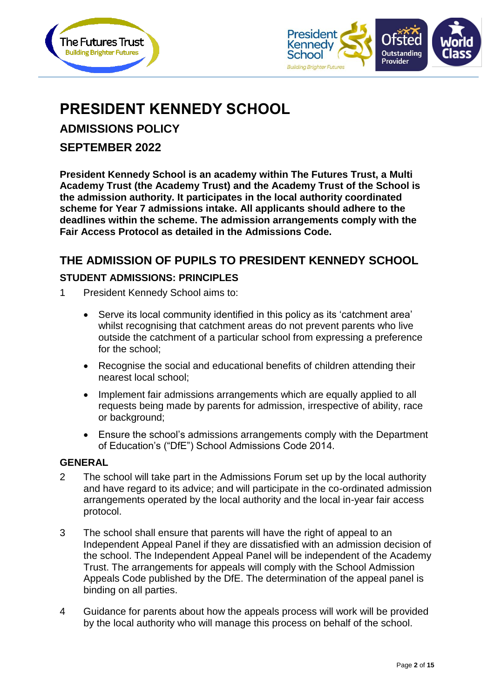



## **PRESIDENT KENNEDY SCHOOL**

**ADMISSIONS POLICY**

**SEPTEMBER 2022**

**President Kennedy School is an academy within The Futures Trust, a Multi Academy Trust (the Academy Trust) and the Academy Trust of the School is the admission authority. It participates in the local authority coordinated scheme for Year 7 admissions intake. All applicants should adhere to the deadlines within the scheme. The admission arrangements comply with the Fair Access Protocol as detailed in the Admissions Code.**

#### **THE ADMISSION OF PUPILS TO PRESIDENT KENNEDY SCHOOL**

#### **STUDENT ADMISSIONS: PRINCIPLES**

- 1 President Kennedy School aims to:
	- Serve its local community identified in this policy as its 'catchment area' whilst recognising that catchment areas do not prevent parents who live outside the catchment of a particular school from expressing a preference for the school;
	- Recognise the social and educational benefits of children attending their nearest local school;
	- Implement fair admissions arrangements which are equally applied to all requests being made by parents for admission, irrespective of ability, race or background;
	- Ensure the school's admissions arrangements comply with the Department of Education's ("DfE") School Admissions Code 2014.

#### **GENERAL**

- 2 The school will take part in the Admissions Forum set up by the local authority and have regard to its advice; and will participate in the co-ordinated admission arrangements operated by the local authority and the local in-year fair access protocol.
- 3 The school shall ensure that parents will have the right of appeal to an Independent Appeal Panel if they are dissatisfied with an admission decision of the school. The Independent Appeal Panel will be independent of the Academy Trust. The arrangements for appeals will comply with the School Admission Appeals Code published by the DfE. The determination of the appeal panel is binding on all parties.
- 4 Guidance for parents about how the appeals process will work will be provided by the local authority who will manage this process on behalf of the school.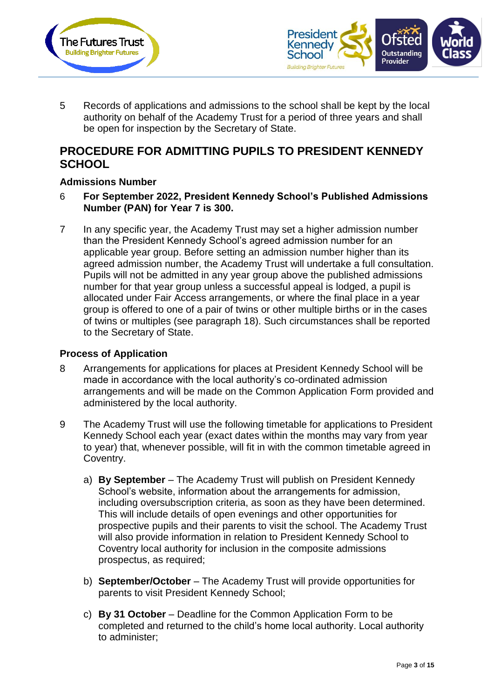



5 Records of applications and admissions to the school shall be kept by the local authority on behalf of the Academy Trust for a period of three years and shall be open for inspection by the Secretary of State.

#### **PROCEDURE FOR ADMITTING PUPILS TO PRESIDENT KENNEDY SCHOOL**

#### **Admissions Number**

- 6 **For September 2022, President Kennedy School's Published Admissions Number (PAN) for Year 7 is 300.**
- 7 In any specific year, the Academy Trust may set a higher admission number than the President Kennedy School's agreed admission number for an applicable year group. Before setting an admission number higher than its agreed admission number, the Academy Trust will undertake a full consultation. Pupils will not be admitted in any year group above the published admissions number for that year group unless a successful appeal is lodged, a pupil is allocated under Fair Access arrangements, or where the final place in a year group is offered to one of a pair of twins or other multiple births or in the cases of twins or multiples (see paragraph 18). Such circumstances shall be reported to the Secretary of State.

#### **Process of Application**

- 8 Arrangements for applications for places at President Kennedy School will be made in accordance with the local authority's co-ordinated admission arrangements and will be made on the Common Application Form provided and administered by the local authority.
- 9 The Academy Trust will use the following timetable for applications to President Kennedy School each year (exact dates within the months may vary from year to year) that, whenever possible, will fit in with the common timetable agreed in Coventry.
	- a) **By September** The Academy Trust will publish on President Kennedy School's website, information about the arrangements for admission, including oversubscription criteria, as soon as they have been determined. This will include details of open evenings and other opportunities for prospective pupils and their parents to visit the school. The Academy Trust will also provide information in relation to President Kennedy School to Coventry local authority for inclusion in the composite admissions prospectus, as required;
	- b) **September/October** The Academy Trust will provide opportunities for parents to visit President Kennedy School;
	- c) **By 31 October** Deadline for the Common Application Form to be completed and returned to the child's home local authority. Local authority to administer;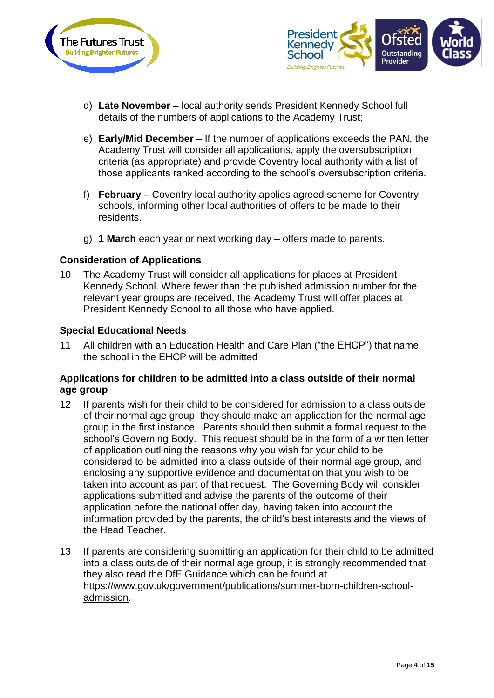



- d) **Late November** local authority sends President Kennedy School full details of the numbers of applications to the Academy Trust;
- e) **Early/Mid December** If the number of applications exceeds the PAN, the Academy Trust will consider all applications, apply the oversubscription criteria (as appropriate) and provide Coventry local authority with a list of those applicants ranked according to the school's oversubscription criteria.
- f) **February** Coventry local authority applies agreed scheme for Coventry schools, informing other local authorities of offers to be made to their residents.
- g) **1 March** each year or next working day offers made to parents.

#### **Consideration of Applications**

10 The Academy Trust will consider all applications for places at President Kennedy School. Where fewer than the published admission number for the relevant year groups are received, the Academy Trust will offer places at President Kennedy School to all those who have applied.

#### **Special Educational Needs**

11 All children with an Education Health and Care Plan ("the EHCP") that name the school in the EHCP will be admitted

#### **Applications for children to be admitted into a class outside of their normal age group**

- 12 If parents wish for their child to be considered for admission to a class outside of their normal age group, they should make an application for the normal age group in the first instance. Parents should then submit a formal request to the school's Governing Body. This request should be in the form of a written letter of application outlining the reasons why you wish for your child to be considered to be admitted into a class outside of their normal age group, and enclosing any supportive evidence and documentation that you wish to be taken into account as part of that request. The Governing Body will consider applications submitted and advise the parents of the outcome of their application before the national offer day, having taken into account the information provided by the parents, the child's best interests and the views of the Head Teacher.
- 13 If parents are considering submitting an application for their child to be admitted into a class outside of their normal age group, it is strongly recommended that they also read the DfE Guidance which can be found at [https://www.gov.uk/government/publications/summer-born-children-school](https://www.gov.uk/government/publications/summer-born-children-school-admission)[admission.](https://www.gov.uk/government/publications/summer-born-children-school-admission)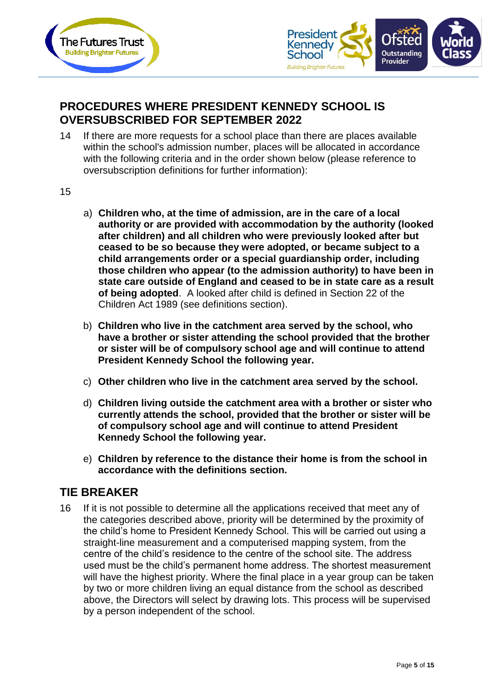



### **PROCEDURES WHERE PRESIDENT KENNEDY SCHOOL IS OVERSUBSCRIBED FOR SEPTEMBER 2022**

- 14 If there are more requests for a school place than there are places available within the school's admission number, places will be allocated in accordance with the following criteria and in the order shown below (please reference to oversubscription definitions for further information):
- 15
- a) **Children who, at the time of admission, are in the care of a local authority or are provided with accommodation by the authority (looked after children) and all children who were previously looked after but ceased to be so because they were adopted, or became subject to a child arrangements order or a special guardianship order, including those children who appear (to the admission authority) to have been in state care outside of England and ceased to be in state care as a result of being adopted**. A looked after child is defined in Section 22 of the Children Act 1989 (see definitions section).
- b) **Children who live in the catchment area served by the school, who have a brother or sister attending the school provided that the brother or sister will be of compulsory school age and will continue to attend President Kennedy School the following year.**
- c) **Other children who live in the catchment area served by the school.**
- d) **Children living outside the catchment area with a brother or sister who currently attends the school, provided that the brother or sister will be of compulsory school age and will continue to attend President Kennedy School the following year.**
- e) **Children by reference to the distance their home is from the school in accordance with the definitions section.**

#### **TIE BREAKER**

16 If it is not possible to determine all the applications received that meet any of the categories described above, priority will be determined by the proximity of the child's home to President Kennedy School. This will be carried out using a straight-line measurement and a computerised mapping system, from the centre of the child's residence to the centre of the school site. The address used must be the child's permanent home address. The shortest measurement will have the highest priority. Where the final place in a year group can be taken by two or more children living an equal distance from the school as described above, the Directors will select by drawing lots. This process will be supervised by a person independent of the school.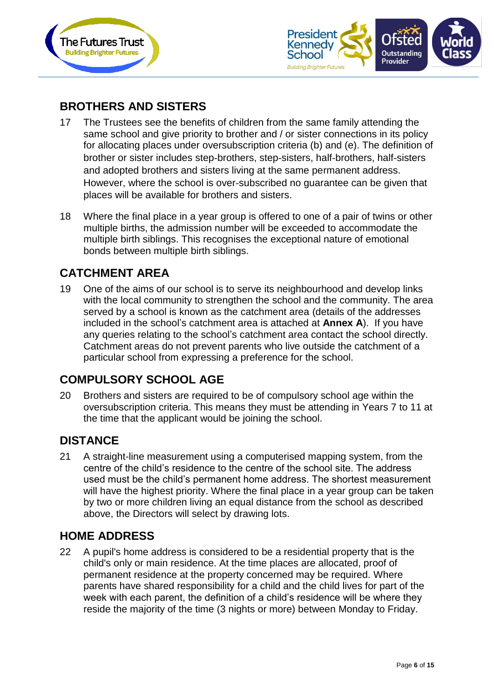



## **BROTHERS AND SISTERS**

- 17 The Trustees see the benefits of children from the same family attending the same school and give priority to brother and / or sister connections in its policy for allocating places under oversubscription criteria (b) and (e). The definition of brother or sister includes step‐brothers, step‐sisters, half‐brothers, half‐sisters and adopted brothers and sisters living at the same permanent address. However, where the school is over‐subscribed no guarantee can be given that places will be available for brothers and sisters.
- 18 Where the final place in a year group is offered to one of a pair of twins or other multiple births, the admission number will be exceeded to accommodate the multiple birth siblings. This recognises the exceptional nature of emotional bonds between multiple birth siblings.

#### **CATCHMENT AREA**

19 One of the aims of our school is to serve its neighbourhood and develop links with the local community to strengthen the school and the community. The area served by a school is known as the catchment area (details of the addresses included in the school's catchment area is attached at **Annex A**). If you have any queries relating to the school's catchment area contact the school directly. Catchment areas do not prevent parents who live outside the catchment of a particular school from expressing a preference for the school.

### **COMPULSORY SCHOOL AGE**

20 Brothers and sisters are required to be of compulsory school age within the oversubscription criteria. This means they must be attending in Years 7 to 11 at the time that the applicant would be joining the school.

### **DISTANCE**

21 A straight-line measurement using a computerised mapping system, from the centre of the child's residence to the centre of the school site. The address used must be the child's permanent home address. The shortest measurement will have the highest priority. Where the final place in a year group can be taken by two or more children living an equal distance from the school as described above, the Directors will select by drawing lots.

#### **HOME ADDRESS**

22 A pupil's home address is considered to be a residential property that is the child's only or main residence. At the time places are allocated, proof of permanent residence at the property concerned may be required. Where parents have shared responsibility for a child and the child lives for part of the week with each parent, the definition of a child's residence will be where they reside the majority of the time (3 nights or more) between Monday to Friday.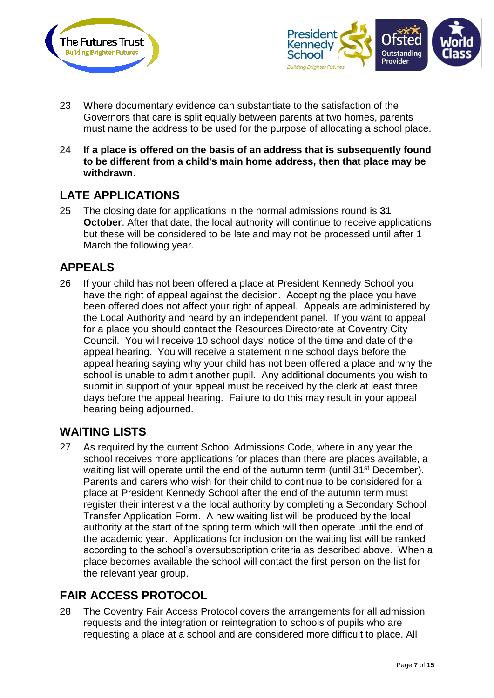



- 23 Where documentary evidence can substantiate to the satisfaction of the Governors that care is split equally between parents at two homes, parents must name the address to be used for the purpose of allocating a school place.
- 24 **If a place is offered on the basis of an address that is subsequently found to be different from a child's main home address, then that place may be withdrawn**.

## **LATE APPLICATIONS**

25 The closing date for applications in the normal admissions round is **31 October**. After that date, the local authority will continue to receive applications but these will be considered to be late and may not be processed until after 1 March the following year.

### **APPEALS**

26 If your child has not been offered a place at President Kennedy School you have the right of appeal against the decision. Accepting the place you have been offered does not affect your right of appeal. Appeals are administered by the Local Authority and heard by an independent panel. If you want to appeal for a place you should contact the Resources Directorate at Coventry City Council. You will receive 10 school days' notice of the time and date of the appeal hearing. You will receive a statement nine school days before the appeal hearing saying why your child has not been offered a place and why the school is unable to admit another pupil. Any additional documents you wish to submit in support of your appeal must be received by the clerk at least three days before the appeal hearing. Failure to do this may result in your appeal hearing being adjourned.

#### **WAITING LISTS**

27 As required by the current School Admissions Code, where in any year the school receives more applications for places than there are places available, a waiting list will operate until the end of the autumn term (until 31<sup>st</sup> December). Parents and carers who wish for their child to continue to be considered for a place at President Kennedy School after the end of the autumn term must register their interest via the local authority by completing a Secondary School Transfer Application Form. A new waiting list will be produced by the local authority at the start of the spring term which will then operate until the end of the academic year. Applications for inclusion on the waiting list will be ranked according to the school's oversubscription criteria as described above. When a place becomes available the school will contact the first person on the list for the relevant year group.

### **FAIR ACCESS PROTOCOL**

28 The Coventry Fair Access Protocol covers the arrangements for all admission requests and the integration or reintegration to schools of pupils who are requesting a place at a school and are considered more difficult to place. All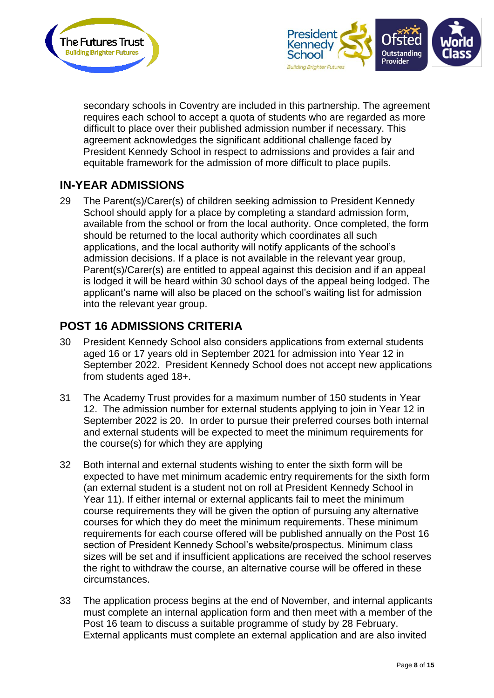



secondary schools in Coventry are included in this partnership. The agreement requires each school to accept a quota of students who are regarded as more difficult to place over their published admission number if necessary. This agreement acknowledges the significant additional challenge faced by President Kennedy School in respect to admissions and provides a fair and equitable framework for the admission of more difficult to place pupils.

## **IN-YEAR ADMISSIONS**

29 The Parent(s)/Carer(s) of children seeking admission to President Kennedy School should apply for a place by completing a standard admission form, available from the school or from the local authority. Once completed, the form should be returned to the local authority which coordinates all such applications, and the local authority will notify applicants of the school's admission decisions. If a place is not available in the relevant year group, Parent(s)/Carer(s) are entitled to appeal against this decision and if an appeal is lodged it will be heard within 30 school days of the appeal being lodged. The applicant's name will also be placed on the school's waiting list for admission into the relevant year group.

## **POST 16 ADMISSIONS CRITERIA**

- 30 President Kennedy School also considers applications from external students aged 16 or 17 years old in September 2021 for admission into Year 12 in September 2022. President Kennedy School does not accept new applications from students aged 18+.
- 31 The Academy Trust provides for a maximum number of 150 students in Year 12. The admission number for external students applying to join in Year 12 in September 2022 is 20. In order to pursue their preferred courses both internal and external students will be expected to meet the minimum requirements for the course(s) for which they are applying
- 32 Both internal and external students wishing to enter the sixth form will be expected to have met minimum academic entry requirements for the sixth form (an external student is a student not on roll at President Kennedy School in Year 11). If either internal or external applicants fail to meet the minimum course requirements they will be given the option of pursuing any alternative courses for which they do meet the minimum requirements. These minimum requirements for each course offered will be published annually on the Post 16 section of President Kennedy School's website/prospectus. Minimum class sizes will be set and if insufficient applications are received the school reserves the right to withdraw the course, an alternative course will be offered in these circumstances.
- 33 The application process begins at the end of November, and internal applicants must complete an internal application form and then meet with a member of the Post 16 team to discuss a suitable programme of study by 28 February. External applicants must complete an external application and are also invited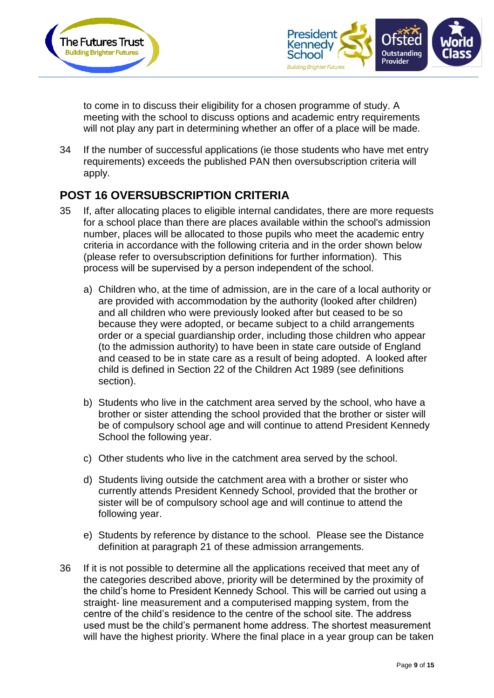



to come in to discuss their eligibility for a chosen programme of study. A meeting with the school to discuss options and academic entry requirements will not play any part in determining whether an offer of a place will be made.

34 If the number of successful applications (ie those students who have met entry requirements) exceeds the published PAN then oversubscription criteria will apply.

### **POST 16 OVERSUBSCRIPTION CRITERIA**

- 35 If, after allocating places to eligible internal candidates, there are more requests for a school place than there are places available within the school's admission number, places will be allocated to those pupils who meet the academic entry criteria in accordance with the following criteria and in the order shown below (please refer to oversubscription definitions for further information). This process will be supervised by a person independent of the school.
	- a) Children who, at the time of admission, are in the care of a local authority or are provided with accommodation by the authority (looked after children) and all children who were previously looked after but ceased to be so because they were adopted, or became subject to a child arrangements order or a special guardianship order, including those children who appear (to the admission authority) to have been in state care outside of England and ceased to be in state care as a result of being adopted. A looked after child is defined in Section 22 of the Children Act 1989 (see definitions section).
	- b) Students who live in the catchment area served by the school, who have a brother or sister attending the school provided that the brother or sister will be of compulsory school age and will continue to attend President Kennedy School the following year.
	- c) Other students who live in the catchment area served by the school.
	- d) Students living outside the catchment area with a brother or sister who currently attends President Kennedy School, provided that the brother or sister will be of compulsory school age and will continue to attend the following year.
	- e) Students by reference by distance to the school. Please see the Distance definition at paragraph 21 of these admission arrangements.
- 36 If it is not possible to determine all the applications received that meet any of the categories described above, priority will be determined by the proximity of the child's home to President Kennedy School. This will be carried out using a straight- line measurement and a computerised mapping system, from the centre of the child's residence to the centre of the school site. The address used must be the child's permanent home address. The shortest measurement will have the highest priority. Where the final place in a year group can be taken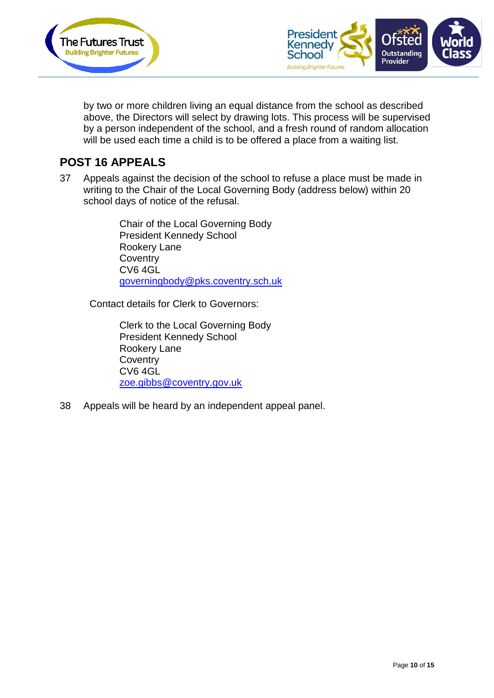



by two or more children living an equal distance from the school as described above, the Directors will select by drawing lots. This process will be supervised by a person independent of the school, and a fresh round of random allocation will be used each time a child is to be offered a place from a waiting list.

#### **POST 16 APPEALS**

37 Appeals against the decision of the school to refuse a place must be made in writing to the Chair of the Local Governing Body (address below) within 20 school days of notice of the refusal.

> Chair of the Local Governing Body President Kennedy School Rookery Lane **Coventry** CV6 4GL [governingbody@pks.coventry.sch.uk](mailto:governingbody@pks.coventry.sch.uk)

Contact details for Clerk to Governors:

Clerk to the Local Governing Body President Kennedy School Rookery Lane **Coventry** CV6 4GL [zoe.gibbs@coventry.gov.uk](mailto:regina.chowdhury@coventry.gov.uk)

38 Appeals will be heard by an independent appeal panel.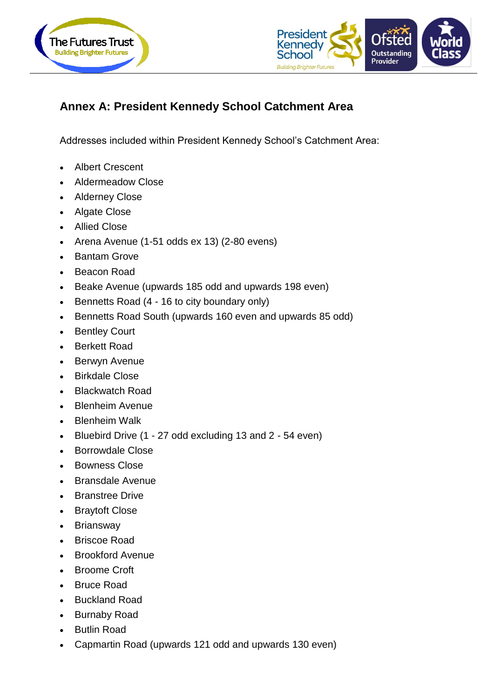



## **Annex A: President Kennedy School Catchment Area**

Addresses included within President Kennedy School's Catchment Area:

- Albert Crescent
- Aldermeadow Close
- Alderney Close
- Algate Close
- Allied Close
- Arena Avenue (1-51 odds ex 13) (2-80 evens)
- Bantam Grove
- Beacon Road
- Beake Avenue (upwards 185 odd and upwards 198 even)
- Bennetts Road (4 16 to city boundary only)
- Bennetts Road South (upwards 160 even and upwards 85 odd)
- Bentley Court
- Berkett Road
- Berwyn Avenue
- Birkdale Close
- Blackwatch Road
- **Blenheim Avenue**
- Blenheim Walk
- Bluebird Drive (1 27 odd excluding 13 and 2 54 even)
- Borrowdale Close
- Bowness Close
- Bransdale Avenue
- Branstree Drive
- Braytoft Close
- Briansway
- Briscoe Road
- Brookford Avenue
- Broome Croft
- Bruce Road
- Buckland Road
- Burnaby Road
- Butlin Road
- Capmartin Road (upwards 121 odd and upwards 130 even)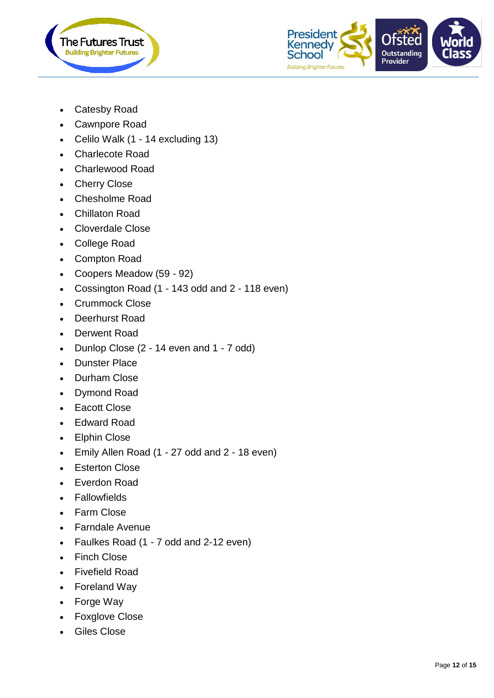



- Catesby Road
- Cawnpore Road
- Celilo Walk (1 14 excluding 13)
- Charlecote Road
- Charlewood Road
- Cherry Close
- Chesholme Road
- Chillaton Road
- Cloverdale Close
- College Road
- Compton Road
- Coopers Meadow (59 92)
- Cossington Road (1 143 odd and 2 118 even)
- Crummock Close
- Deerhurst Road
- Derwent Road
- Dunlop Close (2 14 even and 1 7 odd)
- Dunster Place
- Durham Close
- Dymond Road
- Eacott Close
- Edward Road
- Elphin Close
- Emily Allen Road (1 27 odd and 2 18 even)
- Esterton Close
- Everdon Road
- Fallowfields
- Farm Close
- Farndale Avenue
- Faulkes Road (1 7 odd and 2-12 even)
- Finch Close
- Fivefield Road
- Foreland Way
- Forge Way
- Foxglove Close
- Giles Close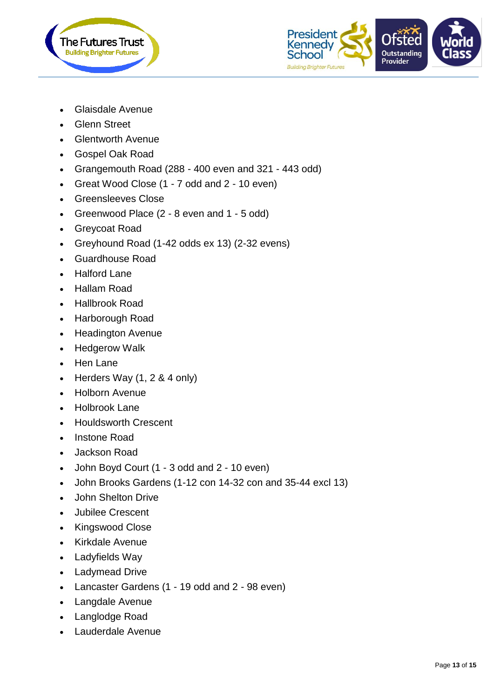



- Glaisdale Avenue
- Glenn Street
- Glentworth Avenue
- Gospel Oak Road
- Grangemouth Road (288 400 even and 321 443 odd)
- Great Wood Close (1 7 odd and 2 10 even)
- Greensleeves Close
- Greenwood Place (2 8 even and 1 5 odd)
- Greycoat Road
- Greyhound Road (1-42 odds ex 13) (2-32 evens)
- Guardhouse Road
- Halford Lane
- Hallam Road
- Hallbrook Road
- Harborough Road
- Headington Avenue
- Hedgerow Walk
- Hen Lane
- Herders Way  $(1, 2, 8, 4)$  only)
- Holborn Avenue
- Holbrook Lane
- Houldsworth Crescent
- Instone Road
- Jackson Road
- John Boyd Court (1 3 odd and 2 10 even)
- John Brooks Gardens (1-12 con 14-32 con and 35-44 excl 13)
- John Shelton Drive
- Jubilee Crescent
- Kingswood Close
- Kirkdale Avenue
- Ladyfields Way
- Ladymead Drive
- Lancaster Gardens (1 19 odd and 2 98 even)
- Langdale Avenue
- Langlodge Road
- Lauderdale Avenue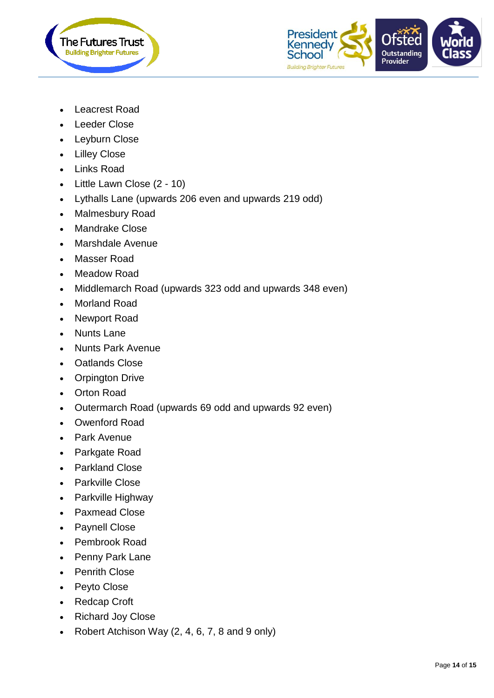



- Leacrest Road
- Leeder Close
- Leyburn Close
- Lilley Close
- Links Road
- Little Lawn Close (2 10)
- Lythalls Lane (upwards 206 even and upwards 219 odd)
- Malmesbury Road
- Mandrake Close
- Marshdale Avenue
- Masser Road
- Meadow Road
- Middlemarch Road (upwards 323 odd and upwards 348 even)
- Morland Road
- Newport Road
- Nunts Lane
- Nunts Park Avenue
- Oatlands Close
- Orpington Drive
- Orton Road
- Outermarch Road (upwards 69 odd and upwards 92 even)
- Owenford Road
- Park Avenue
- Parkgate Road
- Parkland Close
- Parkville Close
- Parkville Highway
- Paxmead Close
- Paynell Close
- Pembrook Road
- Penny Park Lane
- Penrith Close
- Peyto Close
- Redcap Croft
- Richard Joy Close
- Robert Atchison Way  $(2, 4, 6, 7, 8, 9)$  and 9 only)